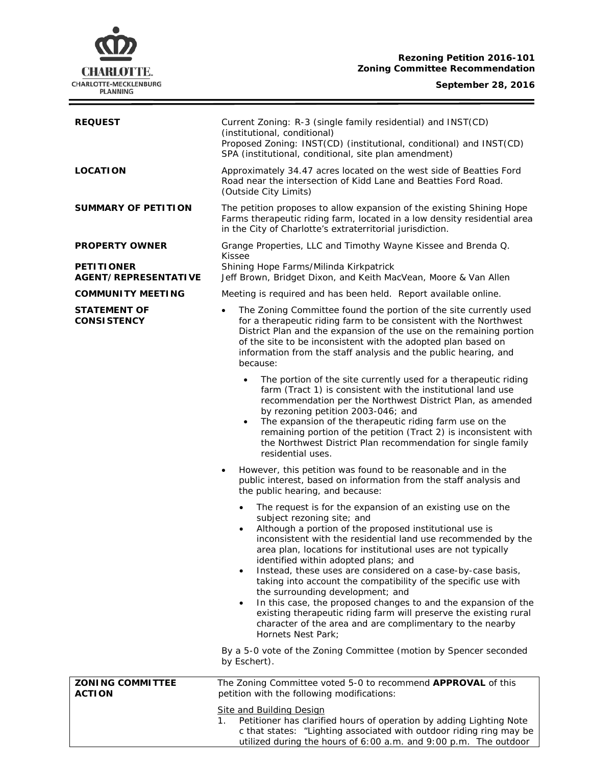## **Rezoning Petition 2016-101 Zoning Committee Recommendation**

# **CHARLOTTE.** CHARLOTTE-MECKLENBURG

 $\equiv$ 

| <b>REQUEST</b>                                   | Current Zoning: R-3 (single family residential) and INST(CD)<br>(institutional, conditional)<br>Proposed Zoning: INST(CD) (institutional, conditional) and INST(CD)<br>SPA (institutional, conditional, site plan amendment)                                                                                                                                                                                                                                                                                                                                                                                                                                                                                                                           |
|--------------------------------------------------|--------------------------------------------------------------------------------------------------------------------------------------------------------------------------------------------------------------------------------------------------------------------------------------------------------------------------------------------------------------------------------------------------------------------------------------------------------------------------------------------------------------------------------------------------------------------------------------------------------------------------------------------------------------------------------------------------------------------------------------------------------|
| <b>LOCATION</b>                                  | Approximately 34.47 acres located on the west side of Beatties Ford<br>Road near the intersection of Kidd Lane and Beatties Ford Road.<br>(Outside City Limits)                                                                                                                                                                                                                                                                                                                                                                                                                                                                                                                                                                                        |
| <b>SUMMARY OF PETITION</b>                       | The petition proposes to allow expansion of the existing Shining Hope<br>Farms therapeutic riding farm, located in a low density residential area<br>in the City of Charlotte's extraterritorial jurisdiction.                                                                                                                                                                                                                                                                                                                                                                                                                                                                                                                                         |
| <b>PROPERTY OWNER</b>                            | Grange Properties, LLC and Timothy Wayne Kissee and Brenda Q.                                                                                                                                                                                                                                                                                                                                                                                                                                                                                                                                                                                                                                                                                          |
| <b>PETITIONER</b><br><b>AGENT/REPRESENTATIVE</b> | Kissee<br>Shining Hope Farms/Milinda Kirkpatrick<br>Jeff Brown, Bridget Dixon, and Keith MacVean, Moore & Van Allen                                                                                                                                                                                                                                                                                                                                                                                                                                                                                                                                                                                                                                    |
| <b>COMMUNITY MEETING</b>                         | Meeting is required and has been held. Report available online.                                                                                                                                                                                                                                                                                                                                                                                                                                                                                                                                                                                                                                                                                        |
| <b>STATEMENT OF</b><br><b>CONSISTENCY</b>        | The Zoning Committee found the portion of the site currently used<br>$\bullet$<br>for a therapeutic riding farm to be consistent with the Northwest<br>District Plan and the expansion of the use on the remaining portion<br>of the site to be inconsistent with the adopted plan based on<br>information from the staff analysis and the public hearing, and<br>because:                                                                                                                                                                                                                                                                                                                                                                             |
|                                                  | The portion of the site currently used for a therapeutic riding<br>$\bullet$<br>farm (Tract 1) is consistent with the institutional land use<br>recommendation per the Northwest District Plan, as amended<br>by rezoning petition 2003-046; and<br>The expansion of the therapeutic riding farm use on the<br>$\bullet$<br>remaining portion of the petition (Tract 2) is inconsistent with<br>the Northwest District Plan recommendation for single family<br>residential uses.                                                                                                                                                                                                                                                                      |
|                                                  | However, this petition was found to be reasonable and in the<br>public interest, based on information from the staff analysis and<br>the public hearing, and because:                                                                                                                                                                                                                                                                                                                                                                                                                                                                                                                                                                                  |
|                                                  | The request is for the expansion of an existing use on the<br>subject rezoning site; and<br>Although a portion of the proposed institutional use is<br>inconsistent with the residential land use recommended by the<br>area plan, locations for institutional uses are not typically<br>identified within adopted plans; and<br>Instead, these uses are considered on a case-by-case basis,<br>$\bullet$<br>taking into account the compatibility of the specific use with<br>the surrounding development; and<br>In this case, the proposed changes to and the expansion of the<br>$\bullet$<br>existing therapeutic riding farm will preserve the existing rural<br>character of the area and are complimentary to the nearby<br>Hornets Nest Park; |
|                                                  | By a 5-0 vote of the Zoning Committee (motion by Spencer seconded<br>by Eschert).                                                                                                                                                                                                                                                                                                                                                                                                                                                                                                                                                                                                                                                                      |
| <b>ZONING COMMITTEE</b><br><b>ACTION</b>         | The Zoning Committee voted 5-0 to recommend APPROVAL of this<br>petition with the following modifications:                                                                                                                                                                                                                                                                                                                                                                                                                                                                                                                                                                                                                                             |
|                                                  | <b>Site and Building Design</b><br>Petitioner has clarified hours of operation by adding Lighting Note<br>1.<br>c that states: "Lighting associated with outdoor riding ring may be<br>utilized during the hours of 6:00 a.m. and 9:00 p.m. The outdoor                                                                                                                                                                                                                                                                                                                                                                                                                                                                                                |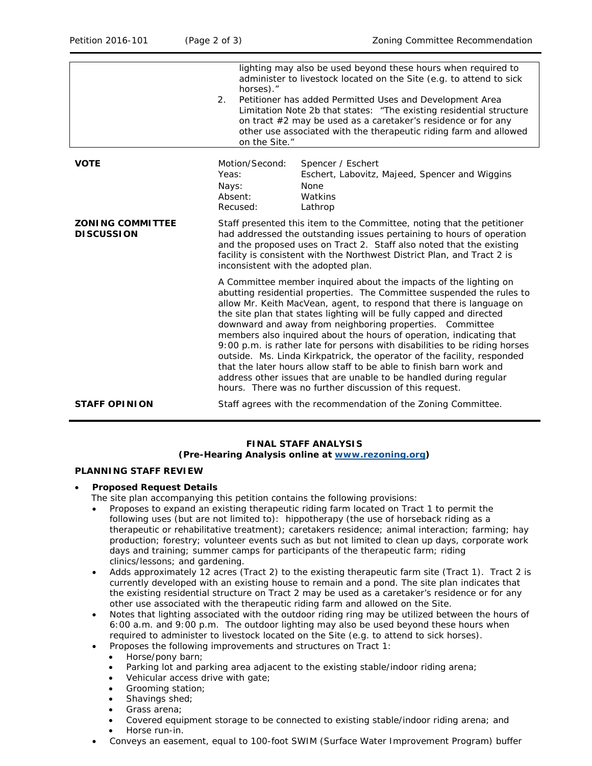|                                              | lighting may also be used beyond these hours when required to<br>administer to livestock located on the Site (e.g. to attend to sick<br>horses)."<br>Petitioner has added Permitted Uses and Development Area<br>2.<br>Limitation Note 2b that states: "The existing residential structure<br>on tract $#2$ may be used as a caretaker's residence or for any<br>other use associated with the therapeutic riding farm and allowed<br>on the Site."                                                                                                                                                                                                                                                                                                                                          |
|----------------------------------------------|----------------------------------------------------------------------------------------------------------------------------------------------------------------------------------------------------------------------------------------------------------------------------------------------------------------------------------------------------------------------------------------------------------------------------------------------------------------------------------------------------------------------------------------------------------------------------------------------------------------------------------------------------------------------------------------------------------------------------------------------------------------------------------------------|
| <b>VOTE</b>                                  | Motion/Second:<br>Spencer / Eschert<br>Yeas:<br>Eschert, Labovitz, Majeed, Spencer and Wiggins<br><b>None</b><br>Nays:<br>Absent:<br>Watkins<br>Recused:<br>Lathrop                                                                                                                                                                                                                                                                                                                                                                                                                                                                                                                                                                                                                          |
| <b>ZONING COMMITTEE</b><br><b>DISCUSSION</b> | Staff presented this item to the Committee, noting that the petitioner<br>had addressed the outstanding issues pertaining to hours of operation<br>and the proposed uses on Tract 2. Staff also noted that the existing<br>facility is consistent with the Northwest District Plan, and Tract 2 is<br>inconsistent with the adopted plan.                                                                                                                                                                                                                                                                                                                                                                                                                                                    |
|                                              | A Committee member inquired about the impacts of the lighting on<br>abutting residential properties. The Committee suspended the rules to<br>allow Mr. Keith MacVean, agent, to respond that there is language on<br>the site plan that states lighting will be fully capped and directed<br>downward and away from neighboring properties. Committee<br>members also inquired about the hours of operation, indicating that<br>9:00 p.m. is rather late for persons with disabilities to be riding horses<br>outside. Ms. Linda Kirkpatrick, the operator of the facility, responded<br>that the later hours allow staff to be able to finish barn work and<br>address other issues that are unable to be handled during regular<br>hours. There was no further discussion of this request. |
| <b>STAFF OPINION</b>                         | Staff agrees with the recommendation of the Zoning Committee.                                                                                                                                                                                                                                                                                                                                                                                                                                                                                                                                                                                                                                                                                                                                |

#### **FINAL STAFF ANALYSIS (Pre-Hearing Analysis online at [www.rezoning.org\)](http://www.rezoning.org/)**

#### **PLANNING STAFF REVIEW**

#### • **Proposed Request Details**

The site plan accompanying this petition contains the following provisions:

- Proposes to expand an existing therapeutic riding farm located on Tract 1 to permit the following uses (but are not limited to): hippotherapy (the use of horseback riding as a therapeutic or rehabilitative treatment); caretakers residence; animal interaction; farming; hay production; forestry; volunteer events such as but not limited to clean up days, corporate work days and training; summer camps for participants of the therapeutic farm; riding clinics/lessons; and gardening.
- Adds approximately 12 acres (Tract 2) to the existing therapeutic farm site (Tract 1). Tract 2 is currently developed with an existing house to remain and a pond. The site plan indicates that the existing residential structure on Tract 2 may be used as a caretaker's residence or for any other use associated with the therapeutic riding farm and allowed on the Site.
- Notes that lighting associated with the outdoor riding ring may be utilized between the hours of 6:00 a.m. and 9:00 p.m. The outdoor lighting may also be used beyond these hours when required to administer to livestock located on the Site (e.g. to attend to sick horses).
- Proposes the following improvements and structures on Tract 1:
	- Horse/pony barn;
	- Parking lot and parking area adjacent to the existing stable/indoor riding arena;
	- Vehicular access drive with gate;
	- Grooming station;
	- Shavings shed;
	- Grass arena;
	- Covered equipment storage to be connected to existing stable/indoor riding arena; and
	- Horse run-in.
- Conveys an easement, equal to 100-foot SWIM (Surface Water Improvement Program) buffer